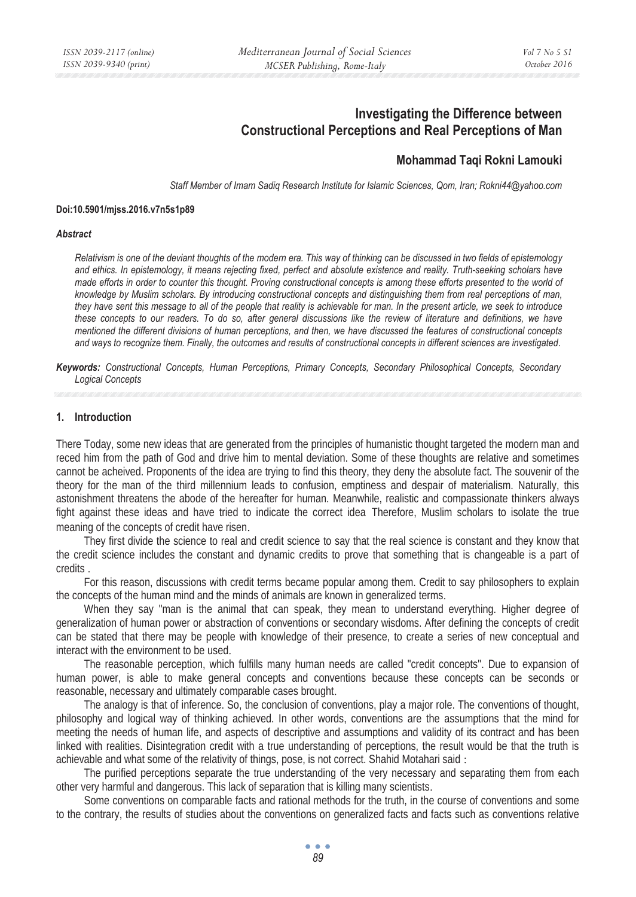# **Investigating the Difference between Constructional Perceptions and Real Perceptions of Man**

## **Mohammad Taqi Rokni Lamouki**

*Staff Member of Imam Sadiq Research Institute for Islamic Sciences, Qom, Iran; Rokni44@yahoo.com* 

#### **Doi:10.5901/mjss.2016.v7n5s1p89**

#### *Abstract*

*Relativism is one of the deviant thoughts of the modern era. This way of thinking can be discussed in two fields of epistemology and ethics. In epistemology, it means rejecting fixed, perfect and absolute existence and reality. Truth-seeking scholars have made efforts in order to counter this thought. Proving constructional concepts is among these efforts presented to the world of knowledge by Muslim scholars. By introducing constructional concepts and distinguishing them from real perceptions of man, they have sent this message to all of the people that reality is achievable for man. In the present article, we seek to introduce these concepts to our readers. To do so, after general discussions like the review of literature and definitions, we have mentioned the different divisions of human perceptions, and then, we have discussed the features of constructional concepts and ways to recognize them. Finally, the outcomes and results of constructional concepts in different sciences are investigated.* 

*Keywords: Constructional Concepts, Human Perceptions, Primary Concepts, Secondary Philosophical Concepts, Secondary Logical Concepts* 

#### **1. Introduction**

There Today, some new ideas that are generated from the principles of humanistic thought targeted the modern man and reced him from the path of God and drive him to mental deviation. Some of these thoughts are relative and sometimes cannot be acheived. Proponents of the idea are trying to find this theory, they deny the absolute fact. The souvenir of the theory for the man of the third millennium leads to confusion, emptiness and despair of materialism. Naturally, this astonishment threatens the abode of the hereafter for human. Meanwhile, realistic and compassionate thinkers always fight against these ideas and have tried to indicate the correct idea Therefore, Muslim scholars to isolate the true meaning of the concepts of credit have risen.

They first divide the science to real and credit science to say that the real science is constant and they know that the credit science includes the constant and dynamic credits to prove that something that is changeable is a part of credits .

For this reason, discussions with credit terms became popular among them. Credit to say philosophers to explain the concepts of the human mind and the minds of animals are known in generalized terms.

When they say "man is the animal that can speak, they mean to understand everything. Higher degree of generalization of human power or abstraction of conventions or secondary wisdoms. After defining the concepts of credit can be stated that there may be people with knowledge of their presence, to create a series of new conceptual and interact with the environment to be used.

The reasonable perception, which fulfills many human needs are called "credit concepts". Due to expansion of human power, is able to make general concepts and conventions because these concepts can be seconds or reasonable, necessary and ultimately comparable cases brought.

The analogy is that of inference. So, the conclusion of conventions, play a major role. The conventions of thought, philosophy and logical way of thinking achieved. In other words, conventions are the assumptions that the mind for meeting the needs of human life, and aspects of descriptive and assumptions and validity of its contract and has been linked with realities. Disintegration credit with a true understanding of perceptions, the result would be that the truth is achievable and what some of the relativity of things, pose, is not correct. Shahid Motahari said :

The purified perceptions separate the true understanding of the very necessary and separating them from each other very harmful and dangerous. This lack of separation that is killing many scientists.

Some conventions on comparable facts and rational methods for the truth, in the course of conventions and some to the contrary, the results of studies about the conventions on generalized facts and facts such as conventions relative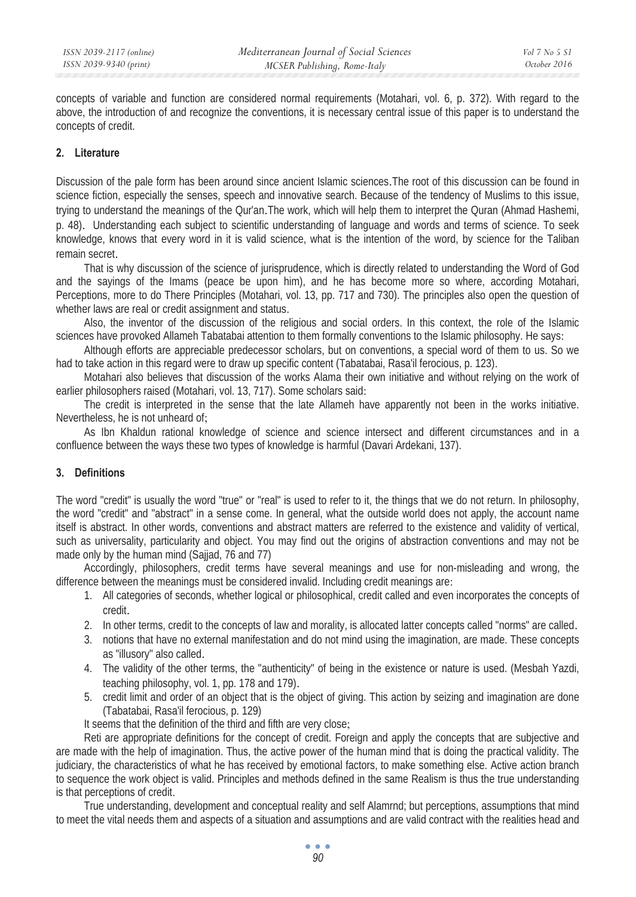concepts of variable and function are considered normal requirements (Motahari, vol. 6, p. 372). With regard to the above, the introduction of and recognize the conventions, it is necessary central issue of this paper is to understand the concepts of credit.

### **2. Literature**

Discussion of the pale form has been around since ancient Islamic sciences.The root of this discussion can be found in science fiction, especially the senses, speech and innovative search. Because of the tendency of Muslims to this issue, trying to understand the meanings of the Qur'an.The work, which will help them to interpret the Quran (Ahmad Hashemi, p. 48). Understanding each subject to scientific understanding of language and words and terms of science. To seek knowledge, knows that every word in it is valid science, what is the intention of the word, by science for the Taliban remain secret.

That is why discussion of the science of jurisprudence, which is directly related to understanding the Word of God and the sayings of the Imams (peace be upon him), and he has become more so where, according Motahari, Perceptions, more to do There Principles (Motahari, vol. 13, pp. 717 and 730). The principles also open the question of whether laws are real or credit assignment and status.

Also, the inventor of the discussion of the religious and social orders. In this context, the role of the Islamic sciences have provoked Allameh Tabatabai attention to them formally conventions to the Islamic philosophy. He says:

Although efforts are appreciable predecessor scholars, but on conventions, a special word of them to us. So we had to take action in this regard were to draw up specific content (Tabatabai, Rasa'il ferocious, p. 123).

Motahari also believes that discussion of the works Alama their own initiative and without relying on the work of earlier philosophers raised (Motahari, vol. 13, 717). Some scholars said:

The credit is interpreted in the sense that the late Allameh have apparently not been in the works initiative. Nevertheless, he is not unheard of;

As Ibn Khaldun rational knowledge of science and science intersect and different circumstances and in a confluence between the ways these two types of knowledge is harmful (Davari Ardekani, 137).

#### **3. Definitions**

The word "credit" is usually the word "true" or "real" is used to refer to it, the things that we do not return. In philosophy, the word "credit" and "abstract" in a sense come. In general, what the outside world does not apply, the account name itself is abstract. In other words, conventions and abstract matters are referred to the existence and validity of vertical, such as universality, particularity and object. You may find out the origins of abstraction conventions and may not be made only by the human mind (Sajjad, 76 and 77)

Accordingly, philosophers, credit terms have several meanings and use for non-misleading and wrong, the difference between the meanings must be considered invalid. Including credit meanings are:

- 1. All categories of seconds, whether logical or philosophical, credit called and even incorporates the concepts of credit.
- 2. In other terms, credit to the concepts of law and morality, is allocated latter concepts called "norms" are called.
- 3. notions that have no external manifestation and do not mind using the imagination, are made. These concepts as "illusory" also called.
- 4. The validity of the other terms, the "authenticity" of being in the existence or nature is used. (Mesbah Yazdi, teaching philosophy, vol. 1, pp. 178 and 179).
- 5. credit limit and order of an object that is the object of giving. This action by seizing and imagination are done (Tabatabai, Rasa'il ferocious, p. 129)

It seems that the definition of the third and fifth are very close;

Reti are appropriate definitions for the concept of credit. Foreign and apply the concepts that are subjective and are made with the help of imagination. Thus, the active power of the human mind that is doing the practical validity. The judiciary, the characteristics of what he has received by emotional factors, to make something else. Active action branch to sequence the work object is valid. Principles and methods defined in the same Realism is thus the true understanding is that perceptions of credit.

True understanding, development and conceptual reality and self Alamrnd; but perceptions, assumptions that mind to meet the vital needs them and aspects of a situation and assumptions and are valid contract with the realities head and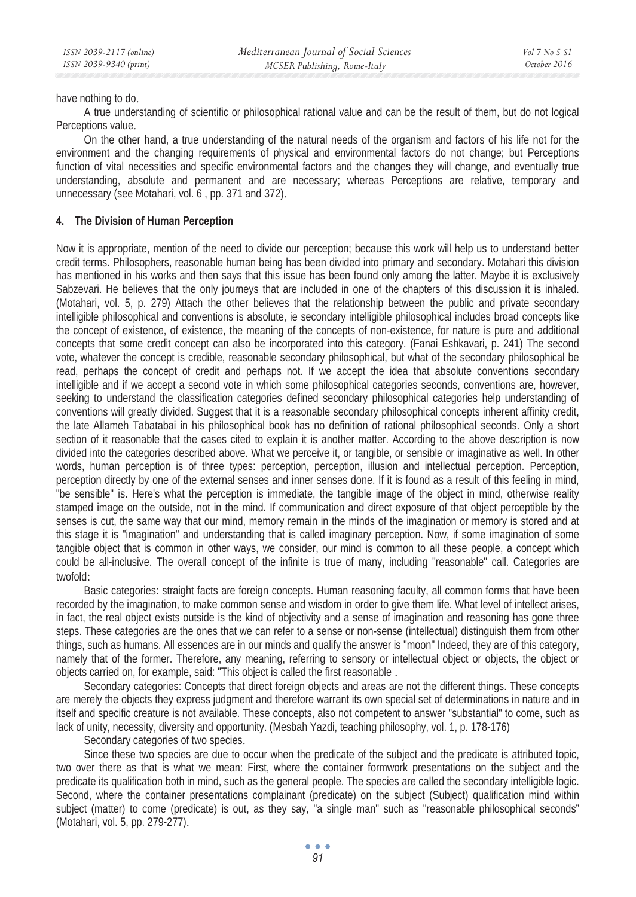have nothing to do.

A true understanding of scientific or philosophical rational value and can be the result of them, but do not logical Perceptions value.

On the other hand, a true understanding of the natural needs of the organism and factors of his life not for the environment and the changing requirements of physical and environmental factors do not change; but Perceptions function of vital necessities and specific environmental factors and the changes they will change, and eventually true understanding, absolute and permanent and are necessary; whereas Perceptions are relative, temporary and unnecessary (see Motahari, vol. 6 , pp. 371 and 372).

### **4. The Division of Human Perception**

Now it is appropriate, mention of the need to divide our perception; because this work will help us to understand better credit terms. Philosophers, reasonable human being has been divided into primary and secondary. Motahari this division has mentioned in his works and then says that this issue has been found only among the latter. Maybe it is exclusively Sabzevari. He believes that the only journeys that are included in one of the chapters of this discussion it is inhaled. (Motahari, vol. 5, p. 279) Attach the other believes that the relationship between the public and private secondary intelligible philosophical and conventions is absolute, ie secondary intelligible philosophical includes broad concepts like the concept of existence, of existence, the meaning of the concepts of non-existence, for nature is pure and additional concepts that some credit concept can also be incorporated into this category. (Fanai Eshkavari, p. 241) The second vote, whatever the concept is credible, reasonable secondary philosophical, but what of the secondary philosophical be read, perhaps the concept of credit and perhaps not. If we accept the idea that absolute conventions secondary intelligible and if we accept a second vote in which some philosophical categories seconds, conventions are, however, seeking to understand the classification categories defined secondary philosophical categories help understanding of conventions will greatly divided. Suggest that it is a reasonable secondary philosophical concepts inherent affinity credit, the late Allameh Tabatabai in his philosophical book has no definition of rational philosophical seconds. Only a short section of it reasonable that the cases cited to explain it is another matter. According to the above description is now divided into the categories described above. What we perceive it, or tangible, or sensible or imaginative as well. In other words, human perception is of three types: perception, perception, illusion and intellectual perception. Perception, perception directly by one of the external senses and inner senses done. If it is found as a result of this feeling in mind, "be sensible" is. Here's what the perception is immediate, the tangible image of the object in mind, otherwise reality stamped image on the outside, not in the mind. If communication and direct exposure of that object perceptible by the senses is cut, the same way that our mind, memory remain in the minds of the imagination or memory is stored and at this stage it is "imagination" and understanding that is called imaginary perception. Now, if some imagination of some tangible object that is common in other ways, we consider, our mind is common to all these people, a concept which could be all-inclusive. The overall concept of the infinite is true of many, including "reasonable" call. Categories are twofold:

Basic categories: straight facts are foreign concepts. Human reasoning faculty, all common forms that have been recorded by the imagination, to make common sense and wisdom in order to give them life. What level of intellect arises, in fact, the real object exists outside is the kind of objectivity and a sense of imagination and reasoning has gone three steps. These categories are the ones that we can refer to a sense or non-sense (intellectual) distinguish them from other things, such as humans. All essences are in our minds and qualify the answer is "moon" Indeed, they are of this category, namely that of the former. Therefore, any meaning, referring to sensory or intellectual object or objects, the object or objects carried on, for example, said: "This object is called the first reasonable .

Secondary categories: Concepts that direct foreign objects and areas are not the different things. These concepts are merely the objects they express judgment and therefore warrant its own special set of determinations in nature and in itself and specific creature is not available. These concepts, also not competent to answer "substantial" to come, such as lack of unity, necessity, diversity and opportunity. (Mesbah Yazdi, teaching philosophy, vol. 1, p. 178-176)

Secondary categories of two species.

Since these two species are due to occur when the predicate of the subject and the predicate is attributed topic, two over there as that is what we mean: First, where the container formwork presentations on the subject and the predicate its qualification both in mind, such as the general people. The species are called the secondary intelligible logic. Second, where the container presentations complainant (predicate) on the subject (Subject) qualification mind within subject (matter) to come (predicate) is out, as they say, "a single man" such as "reasonable philosophical seconds" (Motahari, vol. 5, pp. 279-277).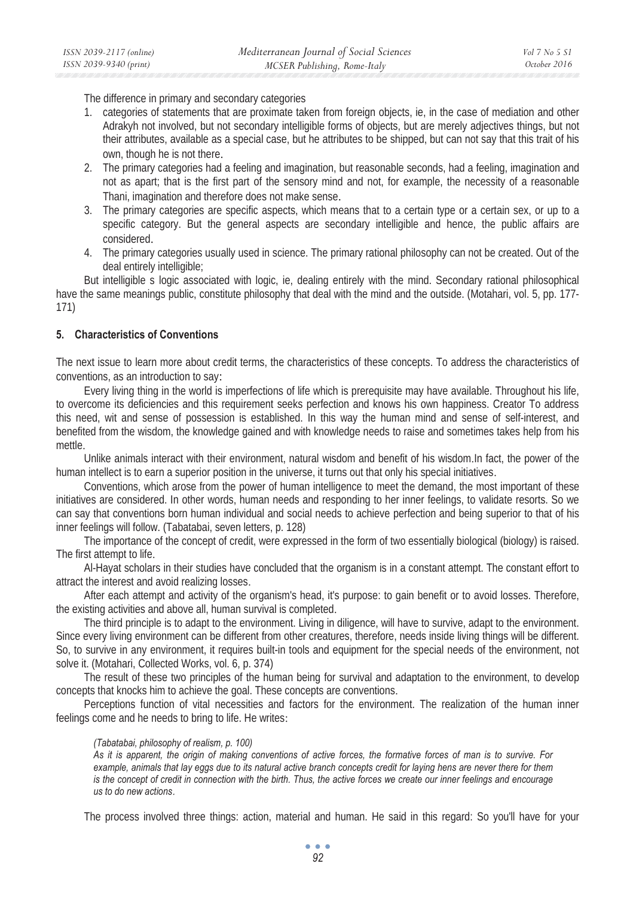The difference in primary and secondary categories

- 1. categories of statements that are proximate taken from foreign objects, ie, in the case of mediation and other Adrakyh not involved, but not secondary intelligible forms of objects, but are merely adjectives things, but not their attributes, available as a special case, but he attributes to be shipped, but can not say that this trait of his own, though he is not there.
- 2. The primary categories had a feeling and imagination, but reasonable seconds, had a feeling, imagination and not as apart; that is the first part of the sensory mind and not, for example, the necessity of a reasonable Thani, imagination and therefore does not make sense.
- 3. The primary categories are specific aspects, which means that to a certain type or a certain sex, or up to a specific category. But the general aspects are secondary intelligible and hence, the public affairs are considered.
- 4. The primary categories usually used in science. The primary rational philosophy can not be created. Out of the deal entirely intelligible;

But intelligible s logic associated with logic, ie, dealing entirely with the mind. Secondary rational philosophical have the same meanings public, constitute philosophy that deal with the mind and the outside. (Motahari, vol. 5, pp. 177- 171)

### **5. Characteristics of Conventions**

The next issue to learn more about credit terms, the characteristics of these concepts. To address the characteristics of conventions, as an introduction to say:

Every living thing in the world is imperfections of life which is prerequisite may have available. Throughout his life, to overcome its deficiencies and this requirement seeks perfection and knows his own happiness. Creator To address this need, wit and sense of possession is established. In this way the human mind and sense of self-interest, and benefited from the wisdom, the knowledge gained and with knowledge needs to raise and sometimes takes help from his mettle.

Unlike animals interact with their environment, natural wisdom and benefit of his wisdom.In fact, the power of the human intellect is to earn a superior position in the universe, it turns out that only his special initiatives.

Conventions, which arose from the power of human intelligence to meet the demand, the most important of these initiatives are considered. In other words, human needs and responding to her inner feelings, to validate resorts. So we can say that conventions born human individual and social needs to achieve perfection and being superior to that of his inner feelings will follow. (Tabatabai, seven letters, p. 128)

The importance of the concept of credit, were expressed in the form of two essentially biological (biology) is raised. The first attempt to life.

Al-Hayat scholars in their studies have concluded that the organism is in a constant attempt. The constant effort to attract the interest and avoid realizing losses.

After each attempt and activity of the organism's head, it's purpose: to gain benefit or to avoid losses. Therefore, the existing activities and above all, human survival is completed.

The third principle is to adapt to the environment. Living in diligence, will have to survive, adapt to the environment. Since every living environment can be different from other creatures, therefore, needs inside living things will be different. So, to survive in any environment, it requires built-in tools and equipment for the special needs of the environment, not solve it. (Motahari, Collected Works, vol. 6, p. 374)

The result of these two principles of the human being for survival and adaptation to the environment, to develop concepts that knocks him to achieve the goal. These concepts are conventions.

Perceptions function of vital necessities and factors for the environment. The realization of the human inner feelings come and he needs to bring to life. He writes:

#### *(Tabatabai, philosophy of realism, p. 100)*

*As it is apparent, the origin of making conventions of active forces, the formative forces of man is to survive. For example, animals that lay eggs due to its natural active branch concepts credit for laying hens are never there for them is the concept of credit in connection with the birth. Thus, the active forces we create our inner feelings and encourage us to do new actions*.

The process involved three things: action, material and human. He said in this regard: So you'll have for your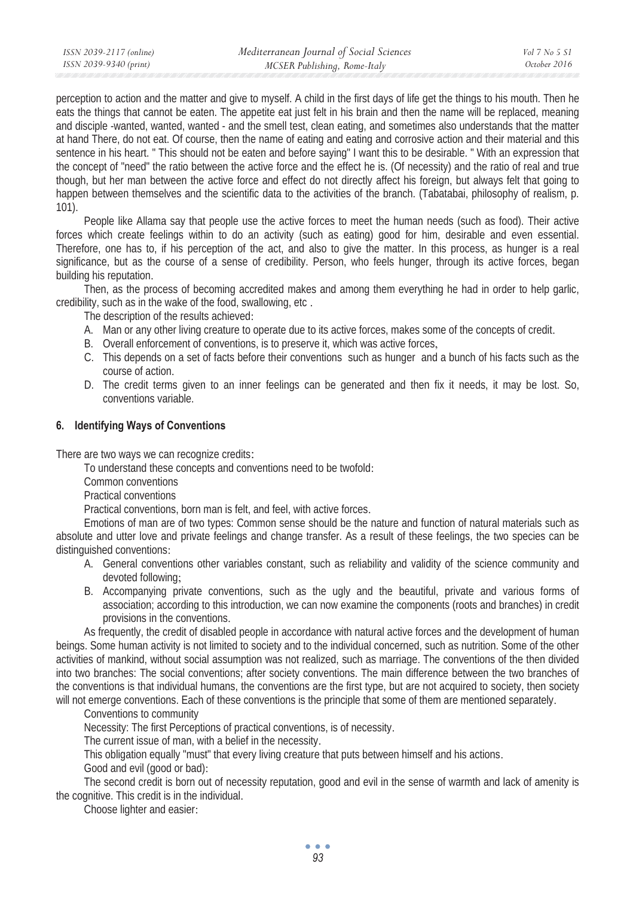perception to action and the matter and give to myself. A child in the first days of life get the things to his mouth. Then he eats the things that cannot be eaten. The appetite eat just felt in his brain and then the name will be replaced, meaning and disciple -wanted, wanted, wanted - and the smell test, clean eating, and sometimes also understands that the matter at hand There, do not eat. Of course, then the name of eating and eating and corrosive action and their material and this sentence in his heart. " This should not be eaten and before saying" I want this to be desirable. " With an expression that the concept of "need" the ratio between the active force and the effect he is. (Of necessity) and the ratio of real and true though, but her man between the active force and effect do not directly affect his foreign, but always felt that going to happen between themselves and the scientific data to the activities of the branch. (Tabatabai, philosophy of realism, p. 101).

People like Allama say that people use the active forces to meet the human needs (such as food). Their active forces which create feelings within to do an activity (such as eating) good for him, desirable and even essential. Therefore, one has to, if his perception of the act, and also to give the matter. In this process, as hunger is a real significance, but as the course of a sense of credibility. Person, who feels hunger, through its active forces, began building his reputation.

Then, as the process of becoming accredited makes and among them everything he had in order to help garlic, credibility, such as in the wake of the food, swallowing, etc .

The description of the results achieved:

- A. Man or any other living creature to operate due to its active forces, makes some of the concepts of credit.
- B. Overall enforcement of conventions, is to preserve it, which was active forces,
- C. This depends on a set of facts before their conventions such as hunger and a bunch of his facts such as the course of action.
- D. The credit terms given to an inner feelings can be generated and then fix it needs, it may be lost. So, conventions variable.

### **6. Identifying Ways of Conventions**

There are two ways we can recognize credits:

To understand these concepts and conventions need to be twofold:

Common conventions

Practical conventions

Practical conventions, born man is felt, and feel, with active forces.

Emotions of man are of two types: Common sense should be the nature and function of natural materials such as absolute and utter love and private feelings and change transfer. As a result of these feelings, the two species can be distinguished conventions:

- A. General conventions other variables constant, such as reliability and validity of the science community and devoted following;
- B. Accompanying private conventions, such as the ugly and the beautiful, private and various forms of association; according to this introduction, we can now examine the components (roots and branches) in credit provisions in the conventions.

As frequently, the credit of disabled people in accordance with natural active forces and the development of human beings. Some human activity is not limited to society and to the individual concerned, such as nutrition. Some of the other activities of mankind, without social assumption was not realized, such as marriage. The conventions of the then divided into two branches: The social conventions; after society conventions. The main difference between the two branches of the conventions is that individual humans, the conventions are the first type, but are not acquired to society, then society will not emerge conventions. Each of these conventions is the principle that some of them are mentioned separately.

Conventions to community

Necessity: The first Perceptions of practical conventions, is of necessity.

The current issue of man, with a belief in the necessity.

This obligation equally "must" that every living creature that puts between himself and his actions.

Good and evil (good or bad):

The second credit is born out of necessity reputation, good and evil in the sense of warmth and lack of amenity is the cognitive. This credit is in the individual.

Choose lighter and easier: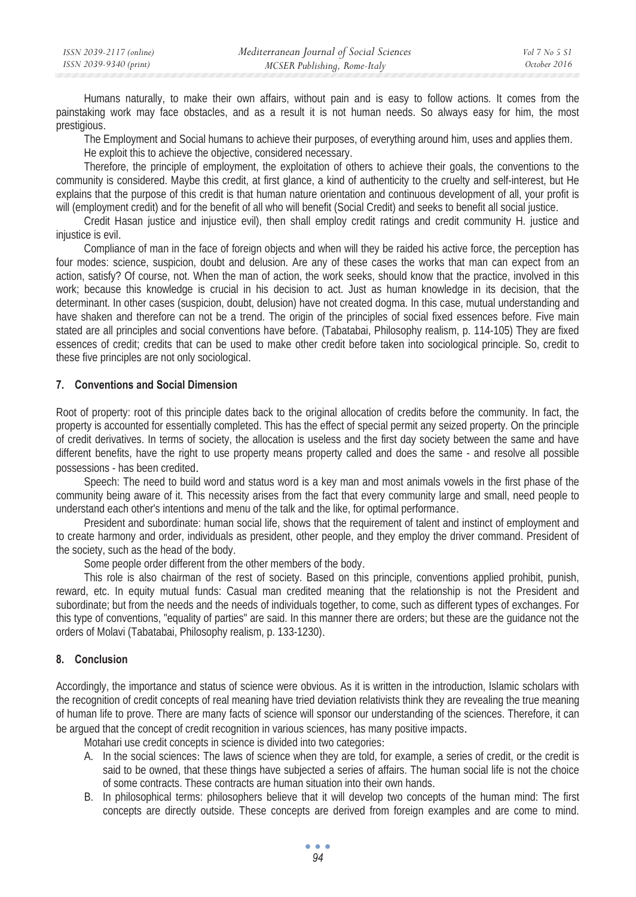Humans naturally, to make their own affairs, without pain and is easy to follow actions. It comes from the painstaking work may face obstacles, and as a result it is not human needs. So always easy for him, the most prestigious.

The Employment and Social humans to achieve their purposes, of everything around him, uses and applies them.

He exploit this to achieve the objective, considered necessary.

Therefore, the principle of employment, the exploitation of others to achieve their goals, the conventions to the community is considered. Maybe this credit, at first glance, a kind of authenticity to the cruelty and self-interest, but He explains that the purpose of this credit is that human nature orientation and continuous development of all, your profit is will (employment credit) and for the benefit of all who will benefit (Social Credit) and seeks to benefit all social justice.

Credit Hasan justice and injustice evil), then shall employ credit ratings and credit community H. justice and injustice is evil.

Compliance of man in the face of foreign objects and when will they be raided his active force, the perception has four modes: science, suspicion, doubt and delusion. Are any of these cases the works that man can expect from an action, satisfy? Of course, not. When the man of action, the work seeks, should know that the practice, involved in this work; because this knowledge is crucial in his decision to act. Just as human knowledge in its decision, that the determinant. In other cases (suspicion, doubt, delusion) have not created dogma. In this case, mutual understanding and have shaken and therefore can not be a trend. The origin of the principles of social fixed essences before. Five main stated are all principles and social conventions have before. (Tabatabai, Philosophy realism, p. 114-105) They are fixed essences of credit; credits that can be used to make other credit before taken into sociological principle. So, credit to these five principles are not only sociological.

### **7. Conventions and Social Dimension**

Root of property: root of this principle dates back to the original allocation of credits before the community. In fact, the property is accounted for essentially completed. This has the effect of special permit any seized property. On the principle of credit derivatives. In terms of society, the allocation is useless and the first day society between the same and have different benefits, have the right to use property means property called and does the same - and resolve all possible possessions - has been credited.

Speech: The need to build word and status word is a key man and most animals vowels in the first phase of the community being aware of it. This necessity arises from the fact that every community large and small, need people to understand each other's intentions and menu of the talk and the like, for optimal performance.

President and subordinate: human social life, shows that the requirement of talent and instinct of employment and to create harmony and order, individuals as president, other people, and they employ the driver command. President of the society, such as the head of the body.

Some people order different from the other members of the body.

This role is also chairman of the rest of society. Based on this principle, conventions applied prohibit, punish, reward, etc. In equity mutual funds: Casual man credited meaning that the relationship is not the President and subordinate; but from the needs and the needs of individuals together, to come, such as different types of exchanges. For this type of conventions, "equality of parties" are said. In this manner there are orders; but these are the guidance not the orders of Molavi (Tabatabai, Philosophy realism, p. 133-1230).

### **8. Conclusion**

Accordingly, the importance and status of science were obvious. As it is written in the introduction, Islamic scholars with the recognition of credit concepts of real meaning have tried deviation relativists think they are revealing the true meaning of human life to prove. There are many facts of science will sponsor our understanding of the sciences. Therefore, it can be argued that the concept of credit recognition in various sciences, has many positive impacts.

Motahari use credit concepts in science is divided into two categories:

- A. In the social sciences: The laws of science when they are told, for example, a series of credit, or the credit is said to be owned, that these things have subjected a series of affairs. The human social life is not the choice of some contracts. These contracts are human situation into their own hands.
- B. In philosophical terms: philosophers believe that it will develop two concepts of the human mind: The first concepts are directly outside. These concepts are derived from foreign examples and are come to mind.